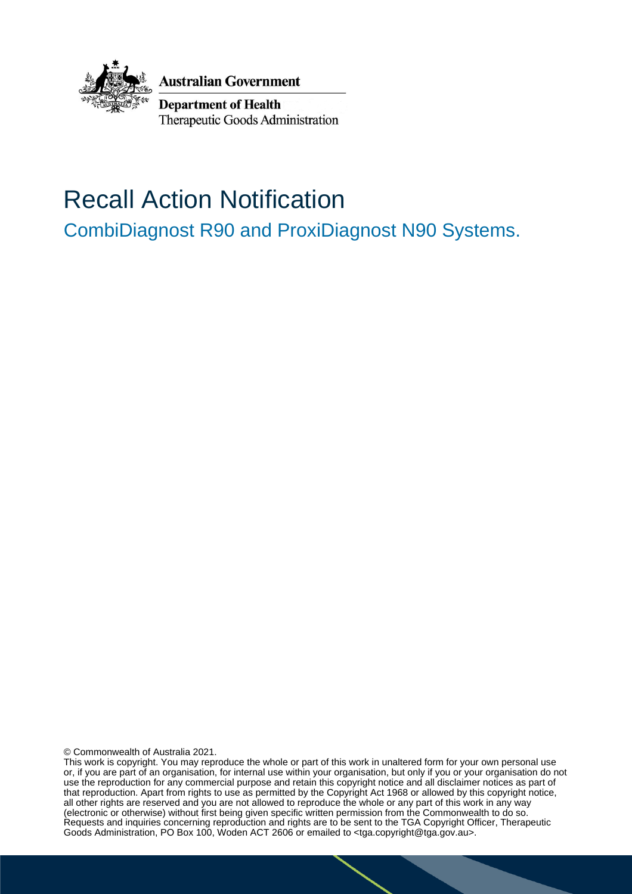

**Australian Government** 

**Department of Health** Therapeutic Goods Administration

# Recall Action Notification

CombiDiagnost R90 and ProxiDiagnost N90 Systems.

© Commonwealth of Australia 2021.

This work is copyright. You may reproduce the whole or part of this work in unaltered form for your own personal use or, if you are part of an organisation, for internal use within your organisation, but only if you or your organisation do not use the reproduction for any commercial purpose and retain this copyright notice and all disclaimer notices as part of that reproduction. Apart from rights to use as permitted by the Copyright Act 1968 or allowed by this copyright notice, all other rights are reserved and you are not allowed to reproduce the whole or any part of this work in any way (electronic or otherwise) without first being given specific written permission from the Commonwealth to do so. Requests and inquiries concerning reproduction and rights are to be sent to the TGA Copyright Officer, Therapeutic Goods Administration, PO Box 100, Woden ACT 2606 or emailed to <tga.copyright@tga.gov.au>.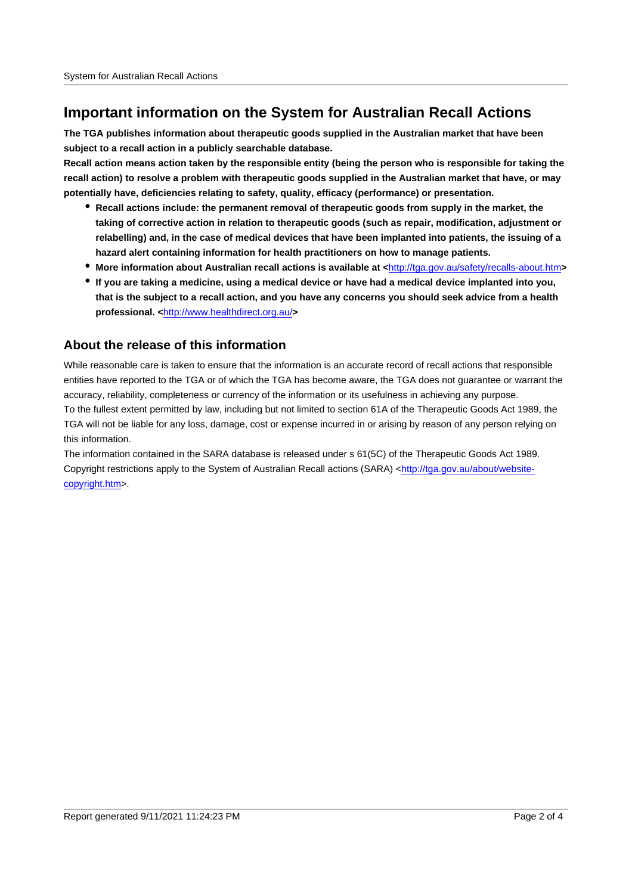## **Important information on the System for Australian Recall Actions**

**The TGA publishes information about therapeutic goods supplied in the Australian market that have been subject to a recall action in a publicly searchable database.**

**Recall action means action taken by the responsible entity (being the person who is responsible for taking the recall action) to resolve a problem with therapeutic goods supplied in the Australian market that have, or may potentially have, deficiencies relating to safety, quality, efficacy (performance) or presentation.**

- **Recall actions include: the permanent removal of therapeutic goods from supply in the market, the taking of corrective action in relation to therapeutic goods (such as repair, modification, adjustment or relabelling) and, in the case of medical devices that have been implanted into patients, the issuing of a hazard alert containing information for health practitioners on how to manage patients.**
- **More information about Australian recall actions is available at <**http://tga.gov.au/safety/recalls-about.htm**>**
- **If you are taking a medicine, using a medical device or have had a medical device implanted into you, that is the subject to a recall action, and you have any concerns you should seek advice from a health professional. <**http://www.healthdirect.org.au/**>**

#### **About the release of this information**

While reasonable care is taken to ensure that the information is an accurate record of recall actions that responsible entities have reported to the TGA or of which the TGA has become aware, the TGA does not guarantee or warrant the accuracy, reliability, completeness or currency of the information or its usefulness in achieving any purpose. To the fullest extent permitted by law, including but not limited to section 61A of the Therapeutic Goods Act 1989, the TGA will not be liable for any loss, damage, cost or expense incurred in or arising by reason of any person relying on this information.

The information contained in the SARA database is released under s 61(5C) of the Therapeutic Goods Act 1989. Copyright restrictions apply to the System of Australian Recall actions (SARA) <http://tga.gov.au/about/websitecopyright.htm>.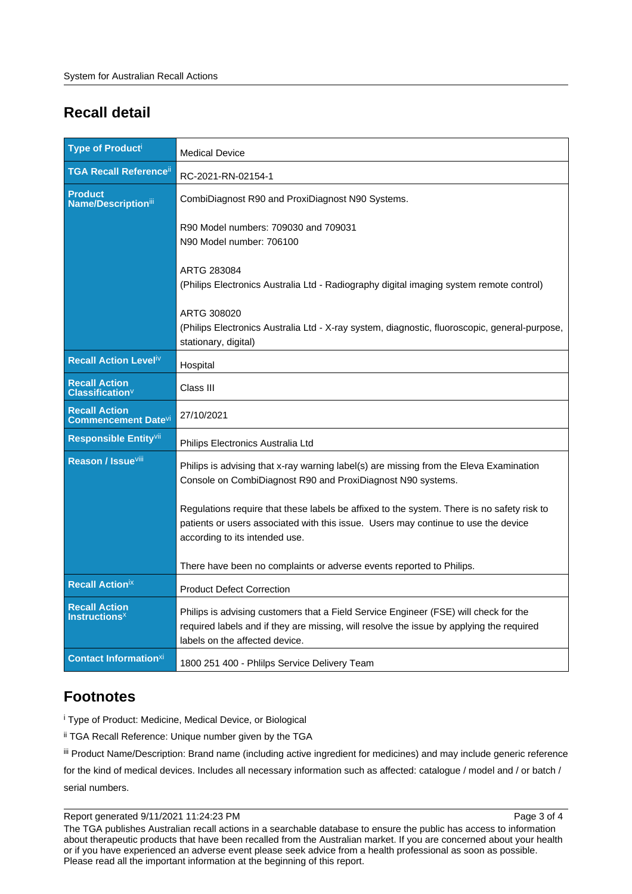# **Recall detail**

| <b>Type of Producti</b>                                  | <b>Medical Device</b>                                                                                                                                                                                              |
|----------------------------------------------------------|--------------------------------------------------------------------------------------------------------------------------------------------------------------------------------------------------------------------|
| <b>TGA Recall Reference</b> <sup>ii</sup>                | RC-2021-RN-02154-1                                                                                                                                                                                                 |
| <b>Product</b><br><b>Name/Description</b> iii            | CombiDiagnost R90 and ProxiDiagnost N90 Systems.                                                                                                                                                                   |
|                                                          | R90 Model numbers: 709030 and 709031<br>N90 Model number: 706100                                                                                                                                                   |
|                                                          | ARTG 283084<br>(Philips Electronics Australia Ltd - Radiography digital imaging system remote control)                                                                                                             |
|                                                          | ARTG 308020<br>(Philips Electronics Australia Ltd - X-ray system, diagnostic, fluoroscopic, general-purpose,<br>stationary, digital)                                                                               |
| Recall Action Level <sup>iv</sup>                        | Hospital                                                                                                                                                                                                           |
| <b>Recall Action</b><br><b>Classification</b>            | Class III                                                                                                                                                                                                          |
| <b>Recall Action</b><br><b>Commencement Datevi</b>       | 27/10/2021                                                                                                                                                                                                         |
| Responsible Entityvii                                    | Philips Electronics Australia Ltd                                                                                                                                                                                  |
| <b>Reason / Issue</b> Vill                               | Philips is advising that x-ray warning label(s) are missing from the Eleva Examination<br>Console on CombiDiagnost R90 and ProxiDiagnost N90 systems.                                                              |
|                                                          | Regulations require that these labels be affixed to the system. There is no safety risk to<br>patients or users associated with this issue. Users may continue to use the device<br>according to its intended use. |
|                                                          | There have been no complaints or adverse events reported to Philips.                                                                                                                                               |
| <b>Recall Actionix</b>                                   | <b>Product Defect Correction</b>                                                                                                                                                                                   |
| <b>Recall Action</b><br><b>Instructions</b> <sup>x</sup> | Philips is advising customers that a Field Service Engineer (FSE) will check for the<br>required labels and if they are missing, will resolve the issue by applying the required<br>labels on the affected device. |
| <b>Contact Information</b> <sup>xi</sup>                 | 1800 251 400 - Phlilps Service Delivery Team                                                                                                                                                                       |

## **Footnotes**

i Type of Product: Medicine, Medical Device, or Biological

ii TGA Recall Reference: Unique number given by the TGA

iii Product Name/Description: Brand name (including active ingredient for medicines) and may include generic reference

for the kind of medical devices. Includes all necessary information such as affected: catalogue / model and / or batch / serial numbers.

Report generated 9/11/2021 11:24:23 PM

The TGA publishes Australian recall actions in a searchable database to ensure the public has access to information about therapeutic products that have been recalled from the Australian market. If you are concerned about your health or if you have experienced an adverse event please seek advice from a health professional as soon as possible. Please read all the important information at the beginning of this report.